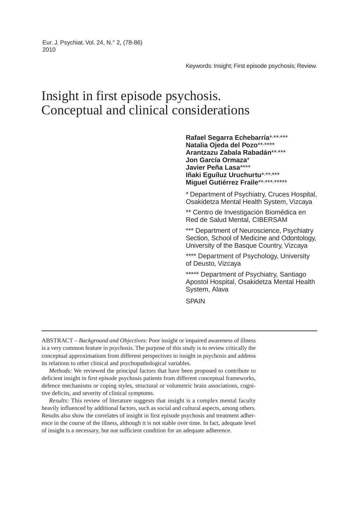Eur. J. Psychiat. Vol. 24, N.° 2, (78-86) 2010

Keywords: Insight; First episode psychosis; Review.

# Insight in first episode psychosis. Conceptual and clinical considerations

Rafael Segarra Echebarría\*,\*\*,\*\*\* **Natalia Ojeda del Pozo**\*\*, \*\*\*\* **Arantzazu Zabala Rabadán**\*\*, \*\*\* **Jon García Ormaza**\* **Javier Peña Lasa**\*\*\*\* Iñaki Eguíluz Uruchurtu\*,\*\*,\*\*\* Miguel Gutiérrez Fraile\*\*,\*\*\*,\*\*\*\*\*\*

\* Department of Psychiatry, Cruces Hospital, Osakidetza Mental Health System, Vizcaya

\*\* Centro de Investigación Biomédica en Red de Salud Mental, CIBERSAM

\*\*\* Department of Neuroscience, Psychiatry Section, School of Medicine and Odontology, University of the Basque Country, Vizcaya

\*\*\*\* Department of Psychology, University of Deusto, Vizcaya

\*\*\*\*\* Department of Psychiatry, Santiago Apostol Hospital, Osakidetza Mental Health System, Alava

SPAIN

ABSTRACT – *Background and Objectives*: Poor insight or impaired awareness of illness is a very common feature in psychosis. The purpose of this study is to review critically the conceptual approximations from different perspectives to insight in psychosis and address its relations to other clinical and psychopathological variables.

*Methods:* We reviewed the principal factors that have been proposed to contribute to deficient insight in first episode psychosis patients from different conceptual frameworks, defence mechanisms or coping styles, structural or volumetric brain associations, cognitive deficits, and severity of clinical symptoms.

*Results:* This review of literature suggests that insight is a complex mental faculty heavily influenced by additional factors, such as social and cultural aspects, among others. Results also show the correlates of insight in first episode psychosis and treatment adherence in the course of the illness, although it is not stable over time. In fact, adequate level of insight is a necessary, but not sufficient condition for an adequate adherence.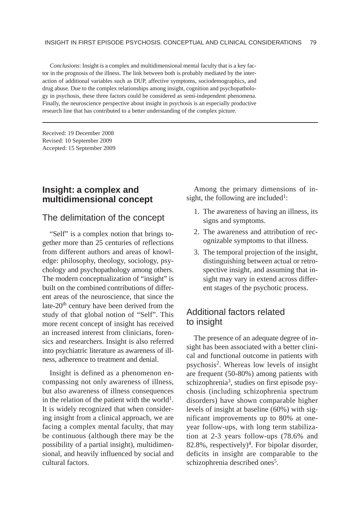*Conclusions*: Insight is a complex and multidimensional mental faculty that is a key factor in the prognosis of the illness. The link between both is probably mediated by the interaction of additional variables such as DUP, affective symptoms, sociodemographics, and drug abuse. Due to the complex relationships among insight, cognition and psychopathology in psychosis, these three factors could be considered as semi-independent phenomena. Finally, the neuroscience perspective about insight in psychosis is an especially productive research line that has contributed to a better understanding of the complex picture.

Received: 19 December 2008 Revised: 10 September 2009 Accepted: 15 September 2009

# **Insight: a complex and multidimensional concept**

#### The delimitation of the concept

"Self" is a complex notion that brings together more than 25 centuries of reflections from different authors and areas of knowledge: philosophy, theology, sociology, psychology and psychopathology among others. The modern conceptualization of "insight" is built on the combined contributions of different areas of the neuroscience, that since the late-20<sup>th</sup> century have been derived from the study of that global notion of "Self". This more recent concept of insight has received an increased interest from clinicians, forensics and researchers. Insight is also referred into psychiatric literature as awareness of illness, adherence to treatment and denial.

Insight is defined as a phenomenon encompassing not only awareness of illness, but also awareness of illness consequences in the relation of the patient with the world<sup>1</sup>. It is widely recognized that when considering insight from a clinical approach, we are facing a complex mental faculty, that may be continuous (although there may be the possibility of a partial insight), multidimensional, and heavily influenced by social and cultural factors.

Among the primary dimensions of insight, the following are included<sup>1</sup>:

- 1. The awareness of having an illness, its signs and symptoms.
- 2. The awareness and attribution of recognizable symptoms to that illness.
- 3. The temporal projection of the insight, distinguishing between actual or retrospective insight, and assuming that insight may vary in extend across different stages of the psychotic process.

#### Additional factors related to insight

The presence of an adequate degree of insight has been associated with a better clinical and functional outcome in patients with psychosis2. Whereas low levels of insight are frequent (50-80%) among patients with schizophrenia<sup>3</sup>, studies on first episode psychosis (including schizophrenia spectrum disorders) have shown comparable higher levels of insight at baseline (60%) with significant improvements up to 80% at oneyear follow-ups, with long term stabilization at 2-3 years follow-ups (78.6% and 82.8%, respectively)<sup>4</sup>. For bipolar disorder, deficits in insight are comparable to the schizophrenia described ones<sup>5</sup>.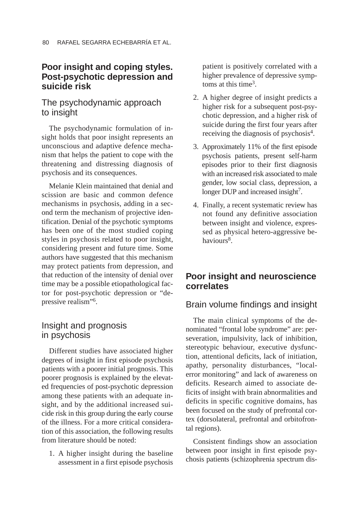### **Poor insight and coping styles. Post-psychotic depression and suicide risk**

# The psychodynamic approach to insight

The psychodynamic formulation of insight holds that poor insight represents an unconscious and adaptive defence mechanism that helps the patient to cope with the threatening and distressing diagnosis of psychosis and its consequences.

Melanie Klein maintained that denial and scission are basic and common defence mechanisms in psychosis, adding in a second term the mechanism of projective identification. Denial of the psychotic symptoms has been one of the most studied coping styles in psychosis related to poor insight, considering present and future time. Some authors have suggested that this mechanism may protect patients from depression, and that reduction of the intensity of denial over time may be a possible etiopathological factor for post-psychotic depression or "depressive realism"6.

# Insight and prognosis in psychosis

Different studies have associated higher degrees of insight in first episode psychosis patients with a poorer initial prognosis. This poorer prognosis is explained by the elevated frequencies of post-psychotic depression among these patients with an adequate insight, and by the additional increased suicide risk in this group during the early course of the illness. For a more critical consideration of this association, the following results from literature should be noted:

1. A higher insight during the baseline assessment in a first episode psychosis

patient is positively correlated with a higher prevalence of depressive symptoms at this time<sup>3</sup>.

- 2. A higher degree of insight predicts a higher risk for a subsequent post-psychotic depression, and a higher risk of suicide during the first four years after receiving the diagnosis of psychosis4.
- 3. Approximately 11% of the first episode psychosis patients, present self-harm episodes prior to their first diagnosis with an increased risk associated to male gender, low social class, depression, a longer DUP and increased insight<sup>7</sup>.
- 4. Finally, a recent systematic review has not found any definitive association between insight and violence, expressed as physical hetero-aggressive behaviours<sup>8</sup>.

# **Poor insight and neuroscience correlates**

# Brain volume findings and insight

The main clinical symptoms of the denominated "frontal lobe syndrome" are: perseveration, impulsivity, lack of inhibition, stereotypic behaviour, executive dysfunction, attentional deficits, lack of initiation, apathy, personality disturbances, "localerror monitoring" and lack of awareness on deficits. Research aimed to associate deficits of insight with brain abnormalities and deficits in specific cognitive domains, has been focused on the study of prefrontal cortex (dorsolateral, prefrontal and orbitofrontal regions).

Consistent findings show an association between poor insight in first episode psychosis patients (schizophrenia spectrum dis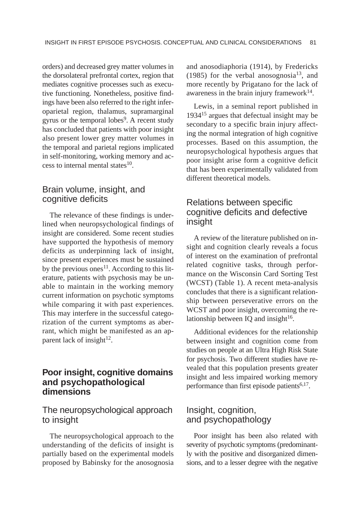orders) and decreased grey matter volumes in the dorsolateral prefrontal cortex, region that mediates cognitive processes such as executive functioning. Nonetheless, positive findings have been also referred to the right inferoparietal region, thalamus, supramarginal gyrus or the temporal lobes<sup>9</sup>. A recent study has concluded that patients with poor insight also present lower grey matter volumes in the temporal and parietal regions implicated in self-monitoring, working memory and access to internal mental states $10$ .

#### Brain volume, insight, and cognitive deficits

The relevance of these findings is underlined when neuropsychological findings of insight are considered. Some recent studies have supported the hypothesis of memory deficits as underpinning lack of insight, since present experiences must be sustained by the previous ones<sup>11</sup>. According to this literature, patients with psychosis may be unable to maintain in the working memory current information on psychotic symptoms while comparing it with past experiences. This may interfere in the successful categorization of the current symptoms as aberrant, which might be manifested as an apparent lack of insight $12$ .

### **Poor insight, cognitive domains and psychopathological dimensions**

#### The neuropsychological approach to insight

The neuropsychological approach to the understanding of the deficits of insight is partially based on the experimental models proposed by Babinsky for the anosognosia and anosodiaphoria (1914), by Fredericks (1985) for the verbal anosognosia<sup>13</sup>, and more recently by Prigatano for the lack of awareness in the brain injury framework $14$ .

Lewis, in a seminal report published in 1934<sup>15</sup> argues that defectual insight may be secondary to a specific brain injury affecting the normal integration of high cognitive processes. Based on this assumption, the neuropsychological hypothesis argues that poor insight arise form a cognitive deficit that has been experimentally validated from different theoretical models.

### Relations between specific cognitive deficits and defective insight

A review of the literature published on insight and cognition clearly reveals a focus of interest on the examination of prefrontal related cognitive tasks, through performance on the Wisconsin Card Sorting Test (WCST) (Table 1). A recent meta-analysis concludes that there is a significant relationship between perseverative errors on the WCST and poor insight, overcoming the relationship between IQ and insight $16$ .

Additional evidences for the relationship between insight and cognition come from studies on people at an Ultra High Risk State for psychosis. Two different studies have revealed that this population presents greater insight and less impaired working memory performance than first episode patients $6,17$ .

#### Insight, cognition, and psychopathology

Poor insight has been also related with severity of psychotic symptoms (predominantly with the positive and disorganized dimensions, and to a lesser degree with the negative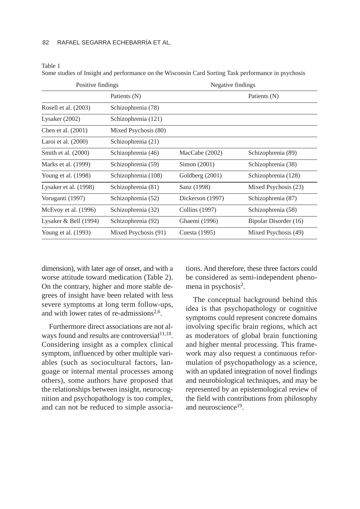#### 82 RAFAEL SEGARRA ECHEBARRÍA ET AL.

Table 1

Some studies of Insight and performance on the Wisconsin Card Sorting Task performance in psychosis

| Positive findings       |                      | Negative findings |                       |
|-------------------------|----------------------|-------------------|-----------------------|
|                         | Patients (N)         |                   | Patients (N)          |
| Rosell et al. (2003)    | Schizophrenia (78)   |                   |                       |
| Lysaker $(2002)$        | Schizophrenia (121)  |                   |                       |
| Chen et al. (2001)      | Mixed Psychosis (80) |                   |                       |
| Laroi et al. $(2000)$   | Schizophrenia (21)   |                   |                       |
| Smith et al. (2000)     | Schizophrenia (46)   | MacCabe (2002)    | Schizophrenia (89)    |
| Marks et al. (1999)     | Schizophrenia (59)   | Simon (2001)      | Schizophrenia (38)    |
| Young et al. (1998)     | Schizophrenia (108)  | Goldberg (2001)   | Schizophrenia (128)   |
| Lysaker et al. (1998)   | Schizophrenia (81)   | Sanz (1998)       | Mixed Psychosis (23)  |
| Voruganti (1997)        | Schizophrenia (52)   | Dickerson (1997)  | Schizophrenia (87)    |
| McEvoy et al. (1996)    | Schizophrenia (32)   | Collins (1997)    | Schizophrenia (58)    |
| Lysaker & Bell $(1994)$ | Schizophrenia (92)   | Ghaemi (1996)     | Bipolar Disorder (16) |
| Young et al. (1993)     | Mixed Psychosis (91) | Cuesta (1995)     | Mixed Psychosis (49)  |

dimension), with later age of onset, and with a worse attitude toward medication (Table 2). On the contrary, higher and more stable degrees of insight have been related with less severe symptoms at long term follow-ups, and with lower rates of re-admissions<sup>2,6</sup>.

Furthermore direct associations are not always found and results are controversial<sup>11,18</sup>. Considering insight as a complex clinical symptom, influenced by other multiple variables (such as sociocultural factors, language or internal mental processes among others), some authors have proposed that the relationships between insight, neurocognition and psychopathology is too complex, and can not be reduced to simple associations. And therefore, these three factors could be considered as semi-independent phenomena in psychosis<sup>2</sup>.

The conceptual background behind this idea is that psychopathology or cognitive symptoms could represent concrete domains involving specific brain regions, which act as moderators of global brain functioning and higher mental processing. This framework may also request a continuous reformulation of psychopathology as a science, with an updated integration of novel findings and neurobiological techniques, and may be represented by an epistemological review of the field with contributions from philosophy and neuroscience<sup>19</sup>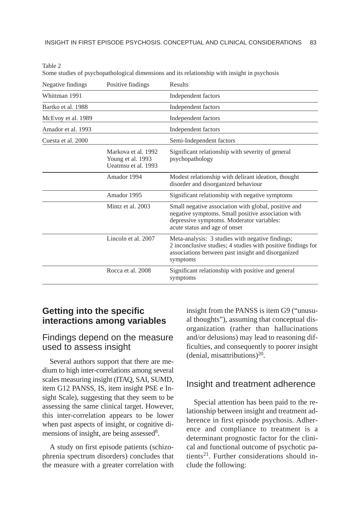| Negative findings  | Positive findings                                               | Results                                                                                                                                                                                  |  |
|--------------------|-----------------------------------------------------------------|------------------------------------------------------------------------------------------------------------------------------------------------------------------------------------------|--|
| Whittman 1991      |                                                                 | Independent factors                                                                                                                                                                      |  |
| Bartko et al. 1988 |                                                                 | Independent factors                                                                                                                                                                      |  |
| McEvoy et al. 1989 |                                                                 | Independent factors                                                                                                                                                                      |  |
| Amador et al. 1993 |                                                                 | Independent factors                                                                                                                                                                      |  |
| Cuesta et al. 2000 |                                                                 | Semi-Independent factors                                                                                                                                                                 |  |
|                    | Markova et al. 1992<br>Young et al. 1993<br>Ueatmsu et al. 1993 | Significant relationship with severity of general<br>psychopathology                                                                                                                     |  |
|                    | Amador 1994                                                     | Modest relationship with delirant ideation, thought<br>disorder and disorganized behaviour                                                                                               |  |
|                    | Amador 1995                                                     | Significant relationship with negative symptoms                                                                                                                                          |  |
|                    | Mintz et al. 2003                                               | Small negative association with global, positive and<br>negative symptoms. Small positive association with<br>depressive symptoms. Moderator variables:<br>acute status and age of onset |  |
|                    | Lincoln et al. 2007                                             | Meta-analysis: 3 studies with negative findings;<br>2 inconclusive studies; 4 studies with positive findings for<br>associations between past insight and disorganized<br>symptoms       |  |
|                    | Rocca et al. 2008                                               | Significant relationship with positive and general<br>symptoms                                                                                                                           |  |

Table 2 Some studies of psychopathological dimensions and its relationship with insight in psychosis

# **Getting into the specific interactions among variables**

#### Findings depend on the measure used to assess insight

Several authors support that there are medium to high inter-correlations among several scales measuring insight (ITAQ, SAI, SUMD, item G12 PANSS, IS, item insight PSE e Insight Scale), suggesting that they seem to be assessing the same clinical target. However, this inter-correlation appears to be lower when past aspects of insight, or cognitive dimensions of insight, are being assessed<sup>8</sup>.

A study on first episode patients (schizophrenia spectrum disorders) concludes that the measure with a greater correlation with insight from the PANSS is item G9 ("unusual thoughts"), assuming that conceptual disorganization (rather than hallucinations and/or delusions) may lead to reasoning difficulties, and consequently to poorer insight (denial, misattributions)<sup>20</sup>.

#### Insight and treatment adherence

Special attention has been paid to the relationship between insight and treatment adherence in first episode psychosis. Adherence and compliance to treatment is a determinant prognostic factor for the clinical and functional outcome of psychotic patients21. Further considerations should include the following: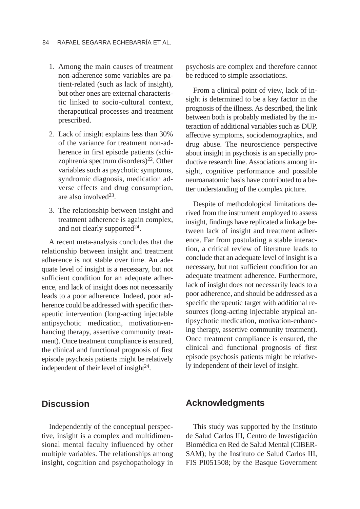- 1. Among the main causes of treatment non-adherence some variables are patient-related (such as lack of insight), but other ones are external characteristic linked to socio-cultural context, therapeutical processes and treatment prescribed.
- 2. Lack of insight explains less than 30% of the variance for treatment non-adherence in first episode patients (schizophrenia spectrum disorders)<sup>22</sup>. Other variables such as psychotic symptoms, syndromic diagnosis, medication adverse effects and drug consumption, are also involved<sup>23</sup>.
- 3. The relationship between insight and treatment adherence is again complex, and not clearly supported $24$ .

A recent meta-analysis concludes that the relationship between insight and treatment adherence is not stable over time. An adequate level of insight is a necessary, but not sufficient condition for an adequate adherence, and lack of insight does not necessarily leads to a poor adherence. Indeed, poor adherence could be addressed with specific therapeutic intervention (long-acting injectable antipsychotic medication, motivation-enhancing therapy, assertive community treatment). Once treatment compliance is ensured, the clinical and functional prognosis of first episode psychosis patients might be relatively independent of their level of insight $24$ .

**Discussion**

Independently of the conceptual perspective, insight is a complex and multidimensional mental faculty influenced by other multiple variables. The relationships among insight, cognition and psychopathology in psychosis are complex and therefore cannot be reduced to simple associations.

From a clinical point of view, lack of insight is determined to be a key factor in the prognosis of the illness. As described, the link between both is probably mediated by the interaction of additional variables such as DUP, affective symptoms, sociodemographics, and drug abuse. The neuroscience perspective about insight in psychosis is an specially productive research line. Associations among insight, cognitive performance and possible neuroanatomic basis have contributed to a better understanding of the complex picture.

Despite of methodological limitations derived from the instrument employed to assess insight, findings have replicated a linkage between lack of insight and treatment adherence. Far from postulating a stable interaction, a critical review of literature leads to conclude that an adequate level of insight is a necessary, but not sufficient condition for an adequate treatment adherence. Furthermore, lack of insight does not necessarily leads to a poor adherence, and should be addressed as a specific therapeutic target with additional resources (long-acting injectable atypical antipsychotic medication, motivation-enhancing therapy, assertive community treatment). Once treatment compliance is ensured, the clinical and functional prognosis of first episode psychosis patients might be relatively independent of their level of insight.

#### **Acknowledgments**

This study was supported by the Instituto de Salud Carlos III, Centro de Investigación Biomédica en Red de Salud Mental (CIBER-SAM); by the Instituto de Salud Carlos III, FIS PI051508; by the Basque Government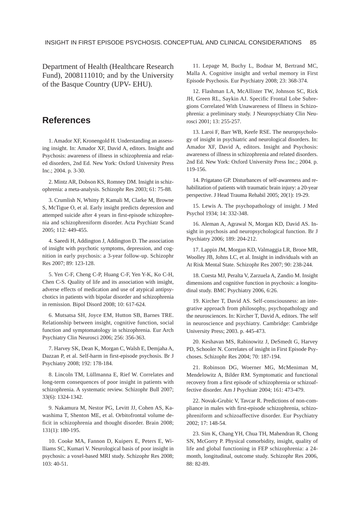Department of Health (Healthcare Research Fund), 2008111010; and by the University of the Basque Country (UPV- EHU).

# **References**

1. Amador XF, Kronengold H. Understanding an assessing insight. In: Amador XF, David A, editors. Insight and Psychosis: awareness of illness in schizophrenia and related disorders, 2nd Ed. New York: Oxford University Press Inc.; 2004. p. 3-30.

2. Mintz AR, Dobson KS, Romney DM. Insight in schizophrenia: a meta-analysis. Schizophr Res 2003; 61: 75-88.

3. Crumlish N, Whitty P, Kamali M, Clarke M, Browne S, McTigue O, et al. Early insight predicts depression and attemped suicide after 4 years in first-episode schizophrenia and schizophreniform disorder. Acta Psychiatr Scand 2005; 112: 449-455.

4. Saeedi H, Addington J, Addington D. The association of insight with psychotic symptoms, depression, and cognition in early psychosis: a 3-year follow-up. Schizophr Res 2007; 89: 123-128.

5. Yen C-F, Cheng C-P, Huang C-F, Yen Y-K, Ko C-H, Chen C-S. Quality of life and its association with insight, adverse effects of medication and use of atypical antipsychotics in patients with bipolar disorder and schizophrenia in remission. Bipol Disord 2008; 10: 617-624.

6. Mutsatsa SH, Joyce EM, Hutton SB, Barnes TRE. Relationship between insight, cognitive function, social function and symptomatology in schizophrenia. Eur Arch Psychiatry Clin Neurosci 2006; 256: 356-363.

7. Harvey SK, Dean K, Morgan C, Walsh E, Demjaha A, Dazzan P, et al. Self-harm in first-episode psychosis. Br J Psychiatry 2008; 192: 178-184.

8. Lincoln TM, Lüllmanna E, Rief W. Correlates and long-term consequences of poor insight in patients with schizophrenia. A systematic review. Schizophr Bull 2007; 33(6): 1324-1342.

9. Nakamura M, Nestor PG, Levitt JJ, Cohen AS, Kawashima T, Shenton ME, et al. Orbitofrontal volume deficit in schizophrenia and thought disorder. Brain 2008; 131(1): 180-195.

10. Cooke MA, Fannon D, Kuipers E, Peters E, Williams SC, Kumari V. Neurological basis of poor insight in psychosis: a voxel-based MRI study. Schizophr Res 2008; 103: 40-51.

11. Lepage M, Buchy L, Bodnar M, Bertrand MC, Malla A. Cognitive insight and verbal memory in First Episode Psychosis. Eur Psychiatry 2008; 23: 368-374.

12. Flashman LA, McAllister TW, Johnson SC, Rick JH, Green RL, Saykin AJ. Specific Frontal Lobe Subregions Correlated With Unawareness of Illness in Schizophrenia: a preliminary study. J Neuropsychiatry Clin Neurosci 2001; 13: 255-257.

13. Laroi F, Barr WB, Keefe RSE. The neuropsychology of insight in psychiatric and neurological disorders. In: Amador XF, David A, editors. Insight and Psychosis: awareness of illness in schizophrenia and related disorders. 2nd Ed. New York: Oxford University Press Inc.; 2004. p. 119-156.

14. Prigatano GP. Disturbances of self-awareness and rehabilitation of patients with traumatic brain injury: a 20-year perspective. J Head Trauma Rehabil 2005; 20(1): 19-29.

15. Lewis A. The psychopathology of insight. J Med Psychol 1934; 14: 332-348.

16. Aleman A, Agrawal N, Morgan KD, David AS. Insight in psychosis and neuropsychological function. Br J Psychiatry 2006; 189: 204-212.

17. Lappin JM, Morgan KD, Valmaggia LR, Brooe MR, Woolley JB, Johns LC, et al. Insight in individuals with an At Risk Mental State. Schizophr Res 2007; 90: 238-244.

18. Cuesta MJ, Peralta V, Zarzuela A, Zandio M. Insight dimensions and cognitive function in psychosis: a longitudinal study. BMC Psychiatry 2006, 6:26.

19. Kircher T, David AS. Self-consciousness: an integrative approach from philosophy, psychopathology and the neurosciences. In: Kircher T, David A, editors. The self in neuroscience and psychiatry. Cambridge: Cambridge University Press; 2003. p. 445-473.

20. Keshavan MS, Rabinowitz J, DeSmedt G, Harvey PD, Schooler N. Correlates of insight in First Episode Psychoses. Schizophr Res 2004; 70: 187-194.

21. Robinson DG, Woerner MG, McMeniman M, Mendelowitz A, Bilder RM. Symptomatic and functional recovery from a first episode of schizophrenia or schizoaffective disorder. Am J Psychiatr 2004; 161: 473-479.

22. Novak-Grubic V, Tavcar R. Predictions of non-compliance in males with first-episode schizophrenia, schizophreniform and schizoaffective disorder. Eur Psychiatry 2002; 17: 148-54.

23. Sim K, Chang YH, Chua TH, Mahendran R, Chong SN, McGorry P. Physical comorbidity, insight, quality of life and global functioning in FEP schizophrenia: a 24 month, longitudinal, outcome study. Schizophr Res 2006, 88: 82-89.